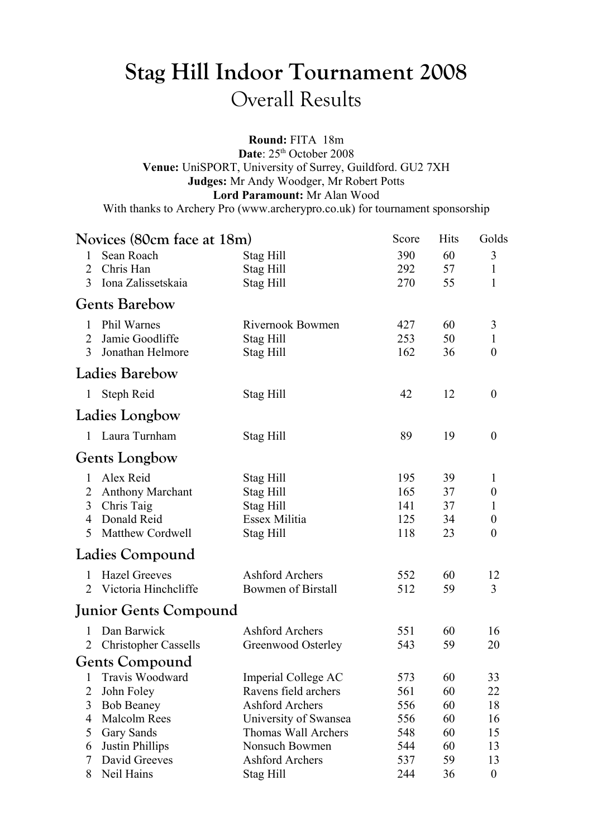## **Stag Hill Indoor Tournament 2008** Overall Results

**Round:** FITA 18m

Date:  $25<sup>th</sup>$  October 2008 **Venue:** UniSPORT, University of Surrey, Guildford. GU2 7XH **Judges:** Mr Andy Woodger, Mr Robert Potts **Lord Paramount:** Mr Alan Wood

With thanks to Archery Pro (www.archerypro.co.uk) for tournament sponsorship

| Novices (80cm face at 18m) |                              | Score                     | <b>Hits</b> | Golds |                  |
|----------------------------|------------------------------|---------------------------|-------------|-------|------------------|
| 1                          | Sean Roach                   | Stag Hill                 | 390         | 60    | 3                |
| 2                          | Chris Han                    | Stag Hill                 | 292         | 57    | $\mathbf{1}$     |
| 3                          | Iona Zalissetskaia           | Stag Hill                 | 270         | 55    | 1                |
|                            | <b>Gents Barebow</b>         |                           |             |       |                  |
| 1                          | Phil Warnes                  | Rivernook Bowmen          | 427         | 60    | 3                |
| 2                          | Jamie Goodliffe              | Stag Hill                 | 253         | 50    | $\mathbf{1}$     |
| 3                          | Jonathan Helmore             | Stag Hill                 | 162         | 36    | $\boldsymbol{0}$ |
|                            | <b>Ladies Barebow</b>        |                           |             |       |                  |
|                            | 1 Steph Reid                 | Stag Hill                 | 42          | 12    | $\boldsymbol{0}$ |
|                            | Ladies Longbow               |                           |             |       |                  |
| $\mathbf{1}$               | Laura Turnham                | Stag Hill                 | 89          | 19    | $\boldsymbol{0}$ |
|                            | <b>Gents Longbow</b>         |                           |             |       |                  |
| 1                          | Alex Reid                    | Stag Hill                 | 195         | 39    | 1                |
| 2                          | <b>Anthony Marchant</b>      | Stag Hill                 | 165         | 37    | $\boldsymbol{0}$ |
| 3                          | Chris Taig                   | Stag Hill                 | 141         | 37    | 1                |
| 4                          | Donald Reid                  | Essex Militia             | 125         | 34    | $\boldsymbol{0}$ |
| 5                          | <b>Matthew Cordwell</b>      | Stag Hill                 | 118         | 23    | $\boldsymbol{0}$ |
|                            | Ladies Compound              |                           |             |       |                  |
| $\mathbf{1}$               | <b>Hazel Greeves</b>         | <b>Ashford Archers</b>    | 552         | 60    | 12               |
| $\mathfrak{2}$             | Victoria Hinchcliffe         | <b>Bowmen of Birstall</b> | 512         | 59    | 3                |
|                            | <b>Junior Gents Compound</b> |                           |             |       |                  |
| 1                          | Dan Barwick                  | <b>Ashford Archers</b>    | 551         | 60    | 16               |
| 2                          | <b>Christopher Cassells</b>  | Greenwood Osterley        | 543         | 59    | 20               |
|                            | <b>Gents Compound</b>        |                           |             |       |                  |
|                            | 1 Travis Woodward            | Imperial College AC       | 573         | 60    | 33               |
| 2                          | John Foley                   | Ravens field archers      | 561         | 60    | 22               |
| 3                          | <b>Bob Beaney</b>            | <b>Ashford Archers</b>    | 556         | 60    | 18               |
| 4                          | Malcolm Rees                 | University of Swansea     | 556         | 60    | 16               |
| 5                          | Gary Sands                   | Thomas Wall Archers       | 548         | 60    | 15               |
| 6                          | Justin Phillips              | Nonsuch Bowmen            | 544         | 60    | 13               |
| 7                          | David Greeves                | Ashford Archers           | 537         | 59    | 13               |
| 8                          | Neil Hains                   | Stag Hill                 | 244         | 36    | $\boldsymbol{0}$ |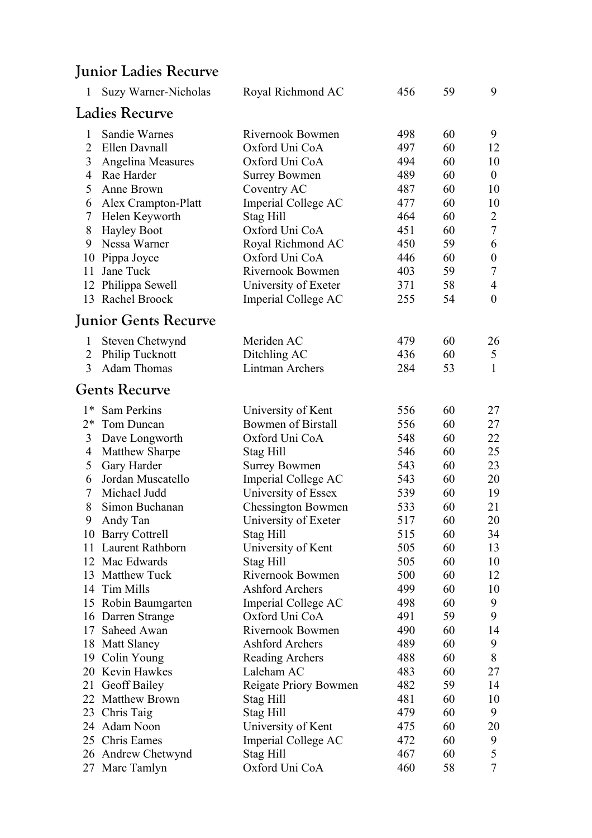## **Junior Ladies Recurve**

| 1              | Suzy Warner-Nicholas    | Royal Richmond AC         | 456 | 59 | 9                |
|----------------|-------------------------|---------------------------|-----|----|------------------|
|                | <b>Ladies Recurve</b>   |                           |     |    |                  |
| $\mathbf{1}$   | Sandie Warnes           | Rivernook Bowmen          | 498 | 60 | 9                |
| $\overline{2}$ | Ellen Davnall           | Oxford Uni CoA            | 497 | 60 | 12               |
| 3              | Angelina Measures       | Oxford Uni CoA            | 494 | 60 | 10               |
| $\overline{4}$ | Rae Harder              | <b>Surrey Bowmen</b>      | 489 | 60 | $\boldsymbol{0}$ |
| 5              | Anne Brown              | Coventry AC               | 487 | 60 | 10               |
| 6              | Alex Crampton-Platt     | Imperial College AC       | 477 | 60 | 10               |
| $\tau$         | Helen Keyworth          | Stag Hill                 | 464 | 60 | $\overline{2}$   |
| 8              | <b>Hayley Boot</b>      | Oxford Uni CoA            | 451 | 60 | $\overline{7}$   |
| 9              | Nessa Warner            | Royal Richmond AC         | 450 | 59 | 6                |
| 10             | Pippa Joyce             | Oxford Uni CoA            | 446 | 60 | $\boldsymbol{0}$ |
| 11             | Jane Tuck               | Rivernook Bowmen          | 403 | 59 | $\tau$           |
|                | 12 Philippa Sewell      | University of Exeter      | 371 | 58 | $\overline{4}$   |
|                | 13 Rachel Broock        | Imperial College AC       | 255 | 54 | $\overline{0}$   |
|                | Junior Gents Recurve    |                           |     |    |                  |
| 1              | Steven Chetwynd         | Meriden AC                | 479 | 60 | 26               |
| $\overline{2}$ | Philip Tucknott         | Ditchling AC              | 436 | 60 | 5                |
| 3              | <b>Adam Thomas</b>      | Lintman Archers           | 284 | 53 | $\mathbf{1}$     |
|                | Gents Recurve           |                           |     |    |                  |
| $1*$           | Sam Perkins             | University of Kent        | 556 | 60 | 27               |
| $2*$           | Tom Duncan              | <b>Bowmen of Birstall</b> | 556 | 60 | 27               |
| 3              | Dave Longworth          | Oxford Uni CoA            | 548 | 60 | 22               |
| $\overline{4}$ | <b>Matthew Sharpe</b>   | Stag Hill                 | 546 | 60 | 25               |
| 5              | Gary Harder             | <b>Surrey Bowmen</b>      | 543 | 60 | 23               |
| 6              | Jordan Muscatello       | Imperial College AC       | 543 | 60 | 20               |
| 7              | Michael Judd            | University of Essex       | 539 | 60 | 19               |
| 8              | Simon Buchanan          | <b>Chessington Bowmen</b> | 533 | 60 | 21               |
| 9              | Andy Tan                | University of Exeter      | 517 | 60 | 20               |
|                | 10 Barry Cottrell       | Stag Hill                 | 515 | 60 | 34               |
| 11             | <b>Laurent Rathborn</b> | University of Kent        | 505 | 60 | 13               |
|                | 12 Mac Edwards          | Stag Hill                 | 505 | 60 | 10               |
|                | 13 Matthew Tuck         | Rivernook Bowmen          | 500 | 60 | 12               |
|                | 14 Tim Mills            | <b>Ashford Archers</b>    | 499 | 60 | 10               |
|                | 15 Robin Baumgarten     | Imperial College AC       | 498 | 60 | 9                |
|                | 16 Darren Strange       | Oxford Uni CoA            | 491 | 59 | 9                |
|                | 17 Saheed Awan          | Rivernook Bowmen          | 490 | 60 | 14               |
|                | 18 Matt Slaney          | <b>Ashford Archers</b>    | 489 | 60 | 9                |
|                | 19 Colin Young          | Reading Archers           | 488 | 60 | 8                |
|                | 20 Kevin Hawkes         | Laleham AC                | 483 | 60 | 27               |
|                | 21 Geoff Bailey         | Reigate Priory Bowmen     | 482 | 59 | 14               |
|                | 22 Matthew Brown        | Stag Hill                 | 481 | 60 | 10               |
|                | 23 Chris Taig           | Stag Hill                 | 479 | 60 | 9                |
|                | 24 Adam Noon            | University of Kent        | 475 | 60 | 20               |
|                | 25 Chris Eames          | Imperial College AC       | 472 | 60 | 9                |
|                | 26 Andrew Chetwynd      | Stag Hill                 | 467 | 60 | 5                |
|                | 27 Marc Tamlyn          | Oxford Uni CoA            | 460 | 58 | 7                |